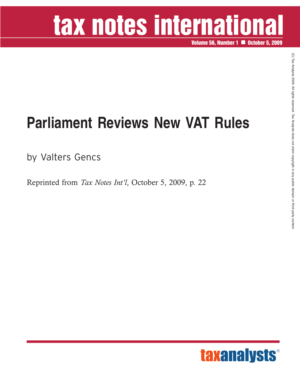# tax notes international

**Volume 56, Number 1 <b>OCTOBER 15, 2009** 

### **Parliament Reviews New VAT Rules**

by Valters Gencs

Reprinted from *Tax Notes Int'l*, October 5, 2009, p. 22